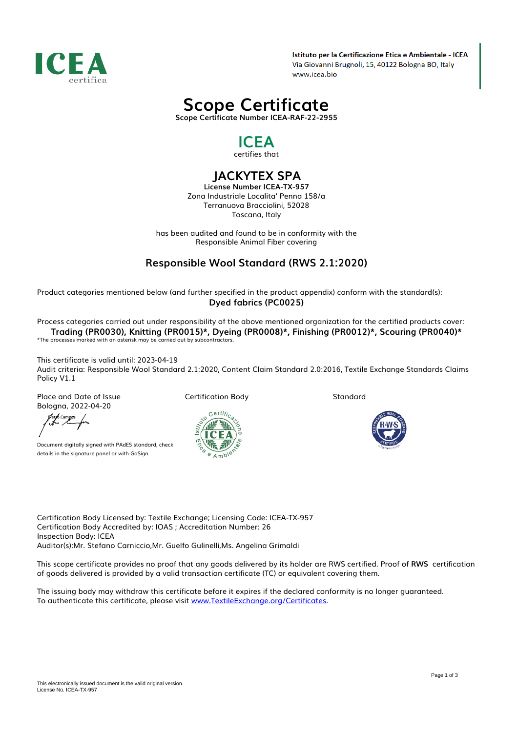

Istituto per la Certificazione Etica e Ambientale - ICEA Via Giovanni Brugnoli, 15, 40122 Bologna BO, Italy www.icea.bio

# *Scope Certificate*

*Scope Certificate Number ICEA-RAF-22-2955*

### *ICEA certifies that*

## *JACKYTEX SPA*

*License Number ICEA-TX-957 Zona Industriale Localita' Penna 158/a Terranuova Bracciolini, 52028 Toscana, Italy*

*has been audited and found to be in conformity with the Responsible Animal Fiber covering*

### *Responsible Wool Standard (RWS 2.1:2020)*

*Product categories mentioned below (and further specified in the product appendix) conform with the standard(s): Dyed fabrics (PC0025)*

*Process categories carried out under responsibility of the above mentioned organization for the certified products cover: Trading (PR0030), Knitting (PR0015)\*, Dyeing (PR0008)\*, Finishing (PR0012)\*, Scouring (PR0040)\* \*The processes marked with an asterisk may be carried out by subcontractors.*

*This certificate is valid until: 2023-04-19 Audit criteria: Responsible Wool Standard 2.1:2020, Content Claim Standard 2.0:2016, Textile Exchange Standards Claims Policy V1.1*

*Place and Date of Issue Bologna, 2022-04-20*

Aero Campos<br>1840 Lampos

*Document digitally signed with PAdES standard, check details in the signature panel or with GoSign*

*Certification Body*



*Standard*



*Certification Body Licensed by: Textile Exchange; Licensing Code: ICEA-TX-957 Certification Body Accredited by: IOAS ; Accreditation Number: 26 Inspection Body: ICEA Auditor(s):Mr. Stefano Carniccio,Mr. Guelfo Gulinelli,Ms. Angelina Grimaldi*

*This scope certificate provides no proof that any goods delivered by its holder are RWS certified. Proof of RWS certification of goods delivered is provided by a valid transaction certificate (TC) or equivalent covering them.*

*The issuing body may withdraw this certificate before it expires if the declared conformity is no longer guaranteed. To authenticate this certificate, please visit [www.TextileExchange.org/Certificates](https://www.TextileExchange.org/Certificates).*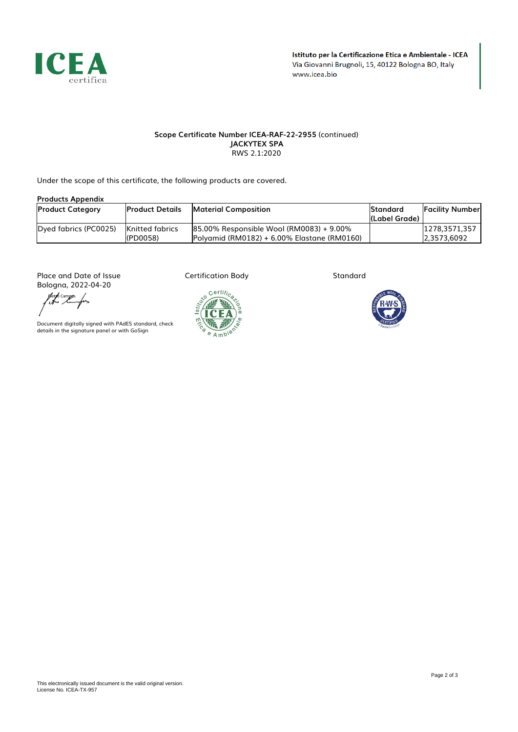

### *Scope Certificate Number ICEA-RAF-22-2955 (continued) JACKYTEX SPA RWS 2.1:2020*

*Under the scope of this certificate, the following products are covered.*

| <b>Products Appendix</b> |                                    |                                                                                         |                                   |                              |  |  |  |
|--------------------------|------------------------------------|-----------------------------------------------------------------------------------------|-----------------------------------|------------------------------|--|--|--|
| <b>Product Category</b>  | <b>Product Details</b>             | <b>Material Composition</b>                                                             | <b>Standard</b><br>l(Label Grade) | <b>Facility Number</b>       |  |  |  |
| Dyed fabrics (PC0025)    | <b>Knitted fabrics</b><br>(PD0058) | 85.00% Responsible Wool (RM0083) + 9.00%<br>Polyamid (RM0182) + 6.00% Elastane (RM0160) |                                   | 1278.3571.357<br>2.3573.6092 |  |  |  |

*Place and Date of Issue Bologna, 2022-04-20*

fler b campos<br>https://www.frs

*Document digitally signed with PAdES standard, check details in the signature panel or with GoSign*

*Certification Body*



*Standard*